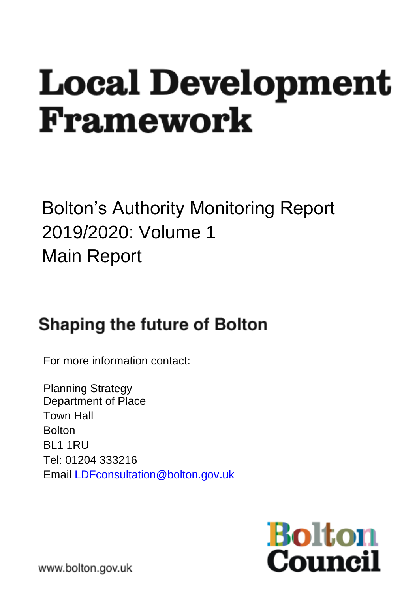# **Local Development** Framework

# Bolton's Authority Monitoring Report 2019/2020: Volume 1 Main Report

# **Shaping the future of Bolton**

For more information contact:

Planning Strategy Department of Place Town Hall **Bolton** BL1 1RU Tel: 01204 333216 Email [LDFconsultation@bolton.gov.uk](mailto:LDFconsultation@bolton.gov.uk)



www.bolton.gov.uk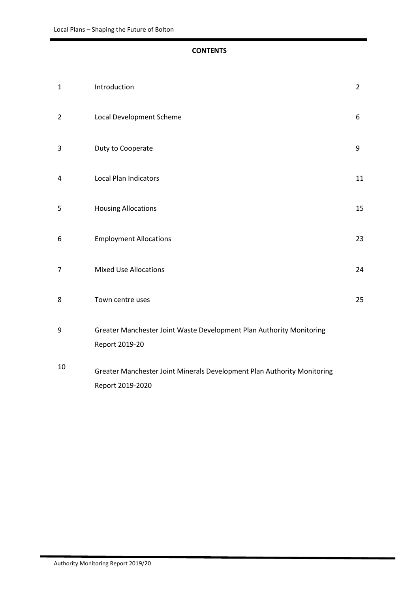#### **CONTENTS**

| $\mathbf{1}$   | Introduction                                                                                | $\overline{2}$ |
|----------------|---------------------------------------------------------------------------------------------|----------------|
| $\overline{2}$ | Local Development Scheme                                                                    | 6              |
| 3              | Duty to Cooperate                                                                           | 9              |
| 4              | <b>Local Plan Indicators</b>                                                                | 11             |
| 5              | <b>Housing Allocations</b>                                                                  | 15             |
| 6              | <b>Employment Allocations</b>                                                               | 23             |
| 7              | <b>Mixed Use Allocations</b>                                                                | 24             |
| 8              | Town centre uses                                                                            | 25             |
| 9              | Greater Manchester Joint Waste Development Plan Authority Monitoring<br>Report 2019-20      |                |
| 10             | Greater Manchester Joint Minerals Development Plan Authority Monitoring<br>Report 2019-2020 |                |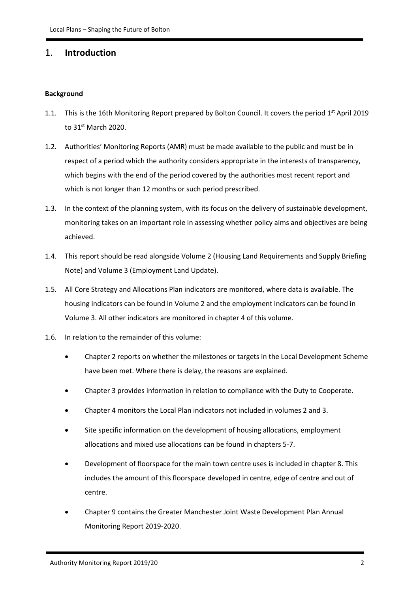#### 1. **Introduction**

#### **Background**

- 1.1. This is the 16th Monitoring Report prepared by Bolton Council. It covers the period 1<sup>st</sup> April 2019 to 31st March 2020.
- 1.2. Authorities' Monitoring Reports (AMR) must be made available to the public and must be in respect of a period which the authority considers appropriate in the interests of transparency, which begins with the end of the period covered by the authorities most recent report and which is not longer than 12 months or such period prescribed.
- 1.3. In the context of the planning system, with its focus on the delivery of sustainable development, monitoring takes on an important role in assessing whether policy aims and objectives are being achieved.
- 1.4. This report should be read alongside Volume 2 (Housing Land Requirements and Supply Briefing Note) and Volume 3 (Employment Land Update).
- 1.5. All Core Strategy and Allocations Plan indicators are monitored, where data is available. The housing indicators can be found in Volume 2 and the employment indicators can be found in Volume 3. All other indicators are monitored in chapter 4 of this volume.
- 1.6. In relation to the remainder of this volume:
	- Chapter 2 reports on whether the milestones or targets in the Local Development Scheme have been met. Where there is delay, the reasons are explained.
	- Chapter 3 provides information in relation to compliance with the Duty to Cooperate.
	- Chapter 4 monitors the Local Plan indicators not included in volumes 2 and 3.
	- Site specific information on the development of housing allocations, employment allocations and mixed use allocations can be found in chapters 5-7.
	- Development of floorspace for the main town centre uses is included in chapter 8. This includes the amount of this floorspace developed in centre, edge of centre and out of centre.
	- Chapter 9 contains the Greater Manchester Joint Waste Development Plan Annual Monitoring Report 2019-2020.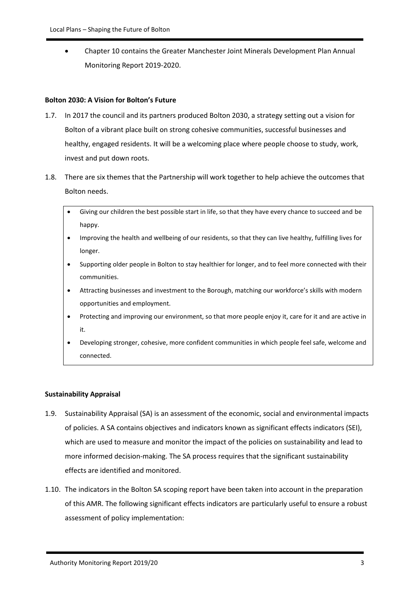• Chapter 10 contains the Greater Manchester Joint Minerals Development Plan Annual Monitoring Report 2019-2020.

#### **Bolton 2030: A Vision for Bolton's Future**

- 1.7. In 2017 the council and its partners produced Bolton 2030, a strategy setting out a vision for Bolton of a vibrant place built on strong cohesive communities, successful businesses and healthy, engaged residents. It will be a welcoming place where people choose to study, work, invest and put down roots.
- 1.8. There are six themes that the Partnership will work together to help achieve the outcomes that Bolton needs.
	- Giving our children the best possible start in life, so that they have every chance to succeed and be happy.
	- Improving the health and wellbeing of our residents, so that they can live healthy, fulfilling lives for longer.
	- Supporting older people in Bolton to stay healthier for longer, and to feel more connected with their communities.
	- Attracting businesses and investment to the Borough, matching our workforce's skills with modern opportunities and employment.
	- Protecting and improving our environment, so that more people enjoy it, care for it and are active in it.
	- Developing stronger, cohesive, more confident communities in which people feel safe, welcome and connected.

#### **Sustainability Appraisal**

- 1.9. Sustainability Appraisal (SA) is an assessment of the economic, social and environmental impacts of policies. A SA contains objectives and indicators known as significant effects indicators (SEI), which are used to measure and monitor the impact of the policies on sustainability and lead to more informed decision-making. The SA process requires that the significant sustainability effects are identified and monitored.
- 1.10. The indicators in the Bolton SA scoping report have been taken into account in the preparation of this AMR. The following significant effects indicators are particularly useful to ensure a robust assessment of policy implementation: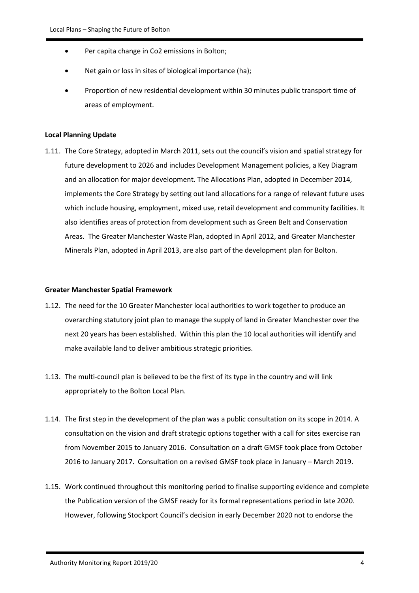- Per capita change in Co2 emissions in Bolton;
- Net gain or loss in sites of biological importance (ha);
- Proportion of new residential development within 30 minutes public transport time of areas of employment.

#### **Local Planning Update**

1.11. The Core Strategy, adopted in March 2011, sets out the council's vision and spatial strategy for future development to 2026 and includes Development Management policies, a Key Diagram and an allocation for major development. The Allocations Plan, adopted in December 2014, implements the Core Strategy by setting out land allocations for a range of relevant future uses which include housing, employment, mixed use, retail development and community facilities. It also identifies areas of protection from development such as Green Belt and Conservation Areas. The Greater Manchester Waste Plan, adopted in April 2012, and Greater Manchester Minerals Plan, adopted in April 2013, are also part of the development plan for Bolton.

#### **Greater Manchester Spatial Framework**

- 1.12. The need for the 10 Greater Manchester local authorities to work together to produce an overarching statutory joint plan to manage the supply of land in Greater Manchester over the next 20 years has been established. Within this plan the 10 local authorities will identify and make available land to deliver ambitious strategic priorities.
- 1.13. The multi-council plan is believed to be the first of its type in the country and will link appropriately to the Bolton Local Plan.
- 1.14. The first step in the development of the plan was a public consultation on its scope in 2014. A consultation on the vision and draft strategic options together with a call for sites exercise ran from November 2015 to January 2016. Consultation on a draft GMSF took place from October 2016 to January 2017. Consultation on a revised GMSF took place in January – March 2019.
- 1.15. Work continued throughout this monitoring period to finalise supporting evidence and complete the Publication version of the GMSF ready for its formal representations period in late 2020. However, following Stockport Council's decision in early December 2020 not to endorse the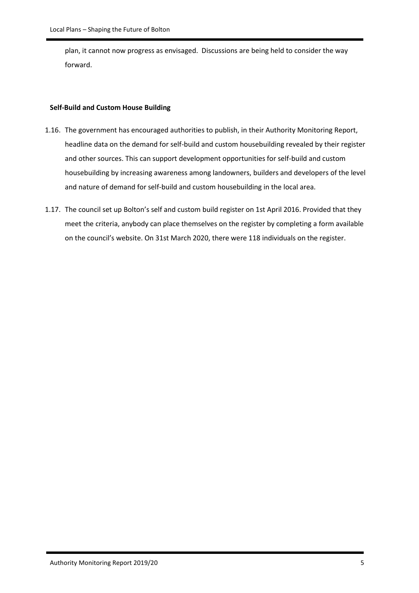plan, it cannot now progress as envisaged. Discussions are being held to consider the way forward.

#### **Self-Build and Custom House Building**

- 1.16. The government has encouraged authorities to publish, in their Authority Monitoring Report, headline data on the demand for self-build and custom housebuilding revealed by their register and other sources. This can support development opportunities for self-build and custom housebuilding by increasing awareness among landowners, builders and developers of the level and nature of demand for self-build and custom housebuilding in the local area.
- 1.17. The council set up Bolton's self and custom build register on 1st April 2016. Provided that they meet the criteria, anybody can place themselves on the register by completing a form available on the council's website. On 31st March 2020, there were 118 individuals on the register.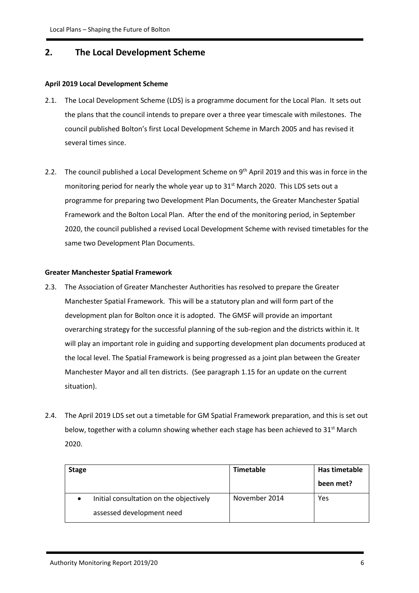#### **2. The Local Development Scheme**

#### **April 2019 Local Development Scheme**

- 2.1. The Local Development Scheme (LDS) is a programme document for the Local Plan. It sets out the plans that the council intends to prepare over a three year timescale with milestones. The council published Bolton's first Local Development Scheme in March 2005 and has revised it several times since.
- 2.2. The council published a Local Development Scheme on 9<sup>th</sup> April 2019 and this was in force in the monitoring period for nearly the whole year up to 31<sup>st</sup> March 2020. This LDS sets out a programme for preparing two Development Plan Documents, the Greater Manchester Spatial Framework and the Bolton Local Plan. After the end of the monitoring period, in September 2020, the council published a revised Local Development Scheme with revised timetables for the same two Development Plan Documents.

#### **Greater Manchester Spatial Framework**

- 2.3. The Association of Greater Manchester Authorities has resolved to prepare the Greater Manchester Spatial Framework. This will be a statutory plan and will form part of the development plan for Bolton once it is adopted. The GMSF will provide an important overarching strategy for the successful planning of the sub-region and the districts within it. It will play an important role in guiding and supporting development plan documents produced at the local level. The Spatial Framework is being progressed as a joint plan between the Greater Manchester Mayor and all ten districts. (See paragraph 1.15 for an update on the current situation).
- 2.4. The April 2019 LDS set out a timetable for GM Spatial Framework preparation, and this is set out below, together with a column showing whether each stage has been achieved to  $31<sup>st</sup>$  March 2020.

| <b>Stage</b> |                                         | Timetable     | Has timetable |  |
|--------------|-----------------------------------------|---------------|---------------|--|
|              |                                         |               | been met?     |  |
|              | Initial consultation on the objectively | November 2014 | Yes           |  |
|              | assessed development need               |               |               |  |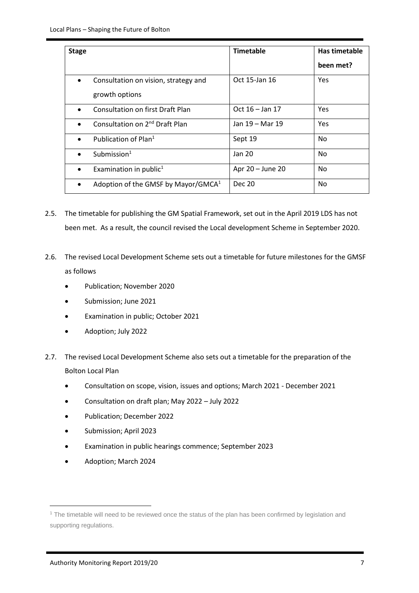| <b>Stage</b> |                                            | <b>Timetable</b>  | Has timetable |
|--------------|--------------------------------------------|-------------------|---------------|
|              |                                            |                   | been met?     |
| $\bullet$    | Consultation on vision, strategy and       | Oct 15-Jan 16     | Yes           |
|              | growth options                             |                   |               |
|              | <b>Consultation on first Draft Plan</b>    | Oct $16 -$ Jan 17 | Yes           |
|              | Consultation on 2 <sup>nd</sup> Draft Plan | Jan 19 - Mar 19   | Yes           |
| $\bullet$    | Publication of Plan <sup>1</sup>           | Sept 19           | No            |
|              | Submission $1$                             | Jan 20            | No            |
|              | Examination in public <sup>1</sup>         | Apr 20 - June 20  | No            |
| $\bullet$    | Adoption of the GMSF by Mayor/GMCA $1$     | Dec 20            | No            |

- 2.5. The timetable for publishing the GM Spatial Framework, set out in the April 2019 LDS has not been met. As a result, the council revised the Local development Scheme in September 2020.
- 2.6. The revised Local Development Scheme sets out a timetable for future milestones for the GMSF as follows
	- Publication; November 2020
	- Submission; June 2021
	- Examination in public; October 2021
	- Adoption; July 2022
- 2.7. The revised Local Development Scheme also sets out a timetable for the preparation of the Bolton Local Plan
	- Consultation on scope, vision, issues and options; March 2021 December 2021
	- Consultation on draft plan; May 2022 July 2022
	- Publication; December 2022
	- Submission; April 2023
	- Examination in public hearings commence; September 2023
	- Adoption; March 2024

<sup>&</sup>lt;sup>1</sup> The timetable will need to be reviewed once the status of the plan has been confirmed by legislation and supporting regulations.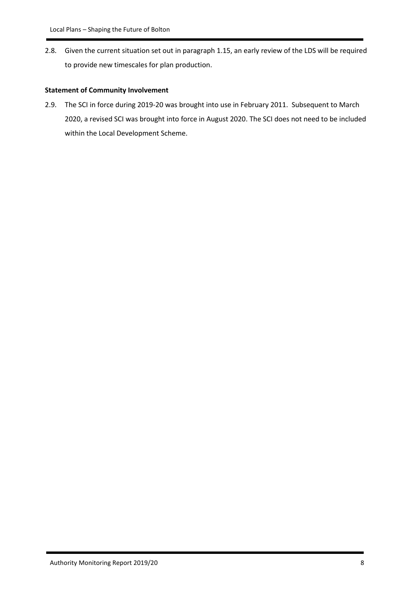2.8. Given the current situation set out in paragraph 1.15, an early review of the LDS will be required to provide new timescales for plan production.

#### **Statement of Community Involvement**

2.9. The SCI in force during 2019-20 was brought into use in February 2011. Subsequent to March 2020, a revised SCI was brought into force in August 2020. The SCI does not need to be included within the Local Development Scheme.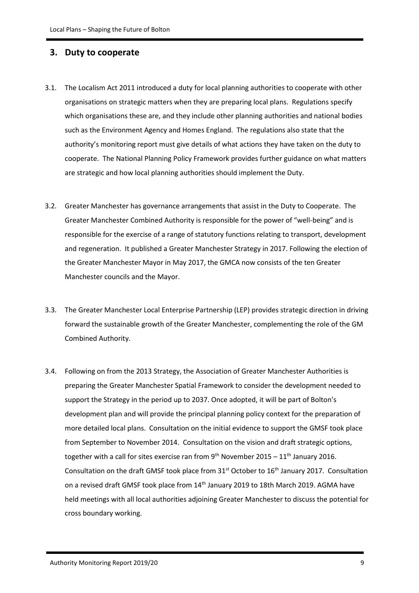#### **3. Duty to cooperate**

- 3.1. The Localism Act 2011 introduced a duty for local planning authorities to cooperate with other organisations on strategic matters when they are preparing local plans. Regulations specify which organisations these are, and they include other planning authorities and national bodies such as the Environment Agency and Homes England. The regulations also state that the authority's monitoring report must give details of what actions they have taken on the duty to cooperate. The National Planning Policy Framework provides further guidance on what matters are strategic and how local planning authorities should implement the Duty.
- 3.2. Greater Manchester has governance arrangements that assist in the Duty to Cooperate. The Greater Manchester Combined Authority is responsible for the power of "well-being" and is responsible for the exercise of a range of statutory functions relating to transport, development and regeneration. It published a Greater Manchester Strategy in 2017. Following the election of the Greater Manchester Mayor in May 2017, the GMCA now consists of the ten Greater Manchester councils and the Mayor.
- 3.3. The Greater Manchester Local Enterprise Partnership (LEP) provides strategic direction in driving forward the sustainable growth of the Greater Manchester, complementing the role of the GM Combined Authority.
- 3.4. Following on from the 2013 Strategy, the Association of Greater Manchester Authorities is preparing the Greater Manchester Spatial Framework to consider the development needed to support the Strategy in the period up to 2037. Once adopted, it will be part of Bolton's development plan and will provide the principal planning policy context for the preparation of more detailed local plans. Consultation on the initial evidence to support the GMSF took place from September to November 2014. Consultation on the vision and draft strategic options, together with a call for sites exercise ran from  $9<sup>th</sup>$  November 2015 – 11<sup>th</sup> January 2016. Consultation on the draft GMSF took place from  $31<sup>st</sup>$  October to  $16<sup>th</sup>$  January 2017. Consultation on a revised draft GMSF took place from 14<sup>th</sup> January 2019 to 18th March 2019. AGMA have held meetings with all local authorities adjoining Greater Manchester to discuss the potential for cross boundary working.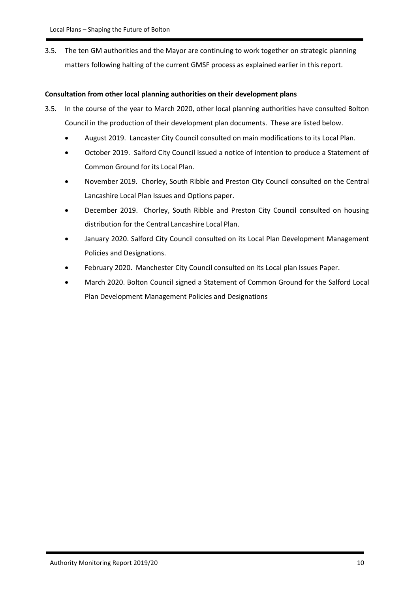3.5. The ten GM authorities and the Mayor are continuing to work together on strategic planning matters following halting of the current GMSF process as explained earlier in this report.

#### **Consultation from other local planning authorities on their development plans**

- 3.5. In the course of the year to March 2020, other local planning authorities have consulted Bolton Council in the production of their development plan documents. These are listed below.
	- August 2019. Lancaster City Council consulted on main modifications to its Local Plan.
	- October 2019. Salford City Council issued a notice of intention to produce a Statement of Common Ground for its Local Plan.
	- November 2019. Chorley, South Ribble and Preston City Council consulted on the Central Lancashire Local Plan Issues and Options paper.
	- December 2019. Chorley, South Ribble and Preston City Council consulted on housing distribution for the Central Lancashire Local Plan.
	- January 2020. Salford City Council consulted on its Local Plan Development Management Policies and Designations.
	- February 2020. Manchester City Council consulted on its Local plan Issues Paper.
	- March 2020. Bolton Council signed a Statement of Common Ground for the Salford Local Plan Development Management Policies and Designations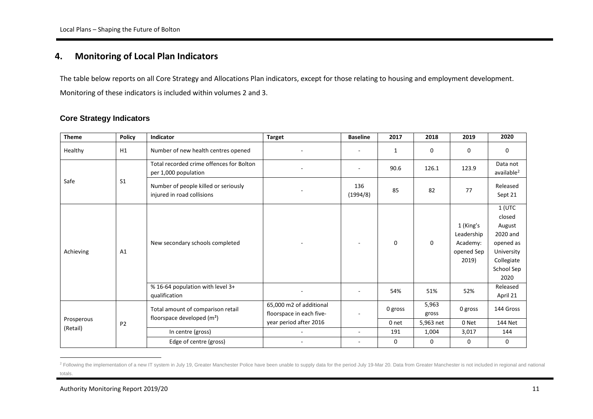#### **4. Monitoring of Local Plan Indicators**

The table below reports on all Core Strategy and Allocations Plan indicators, except for those relating to housing and employment development. Monitoring of these indicators is included within volumes 2 and 3.

#### **Core Strategy Indicators**

| <b>Theme</b> | <b>Policy</b>  | <b>Indicator</b>                                                   | <b>Target</b>                                       | <b>Baseline</b> | 2017         | 2018           | 2019                                                       | 2020                                                                                                    |
|--------------|----------------|--------------------------------------------------------------------|-----------------------------------------------------|-----------------|--------------|----------------|------------------------------------------------------------|---------------------------------------------------------------------------------------------------------|
| Healthy      | H1             | Number of new health centres opened                                |                                                     |                 | $\mathbf{1}$ | $\mathbf{0}$   | 0                                                          | $\Omega$                                                                                                |
|              |                | Total recorded crime offences for Bolton<br>per 1,000 population   |                                                     |                 | 90.6         | 126.1          | 123.9                                                      | Data not<br>available <sup>2</sup>                                                                      |
| Safe         | S <sub>1</sub> | Number of people killed or seriously<br>injured in road collisions |                                                     | 136<br>(1994/8) | 85           | 82             | 77                                                         | Released<br>Sept 21                                                                                     |
| Achieving    | A1             | New secondary schools completed                                    |                                                     |                 | $\mathbf 0$  | 0              | 1 (King's<br>Leadership<br>Academy:<br>opened Sep<br>2019) | $1$ (UTC<br>closed<br>August<br>2020 and<br>opened as<br>University<br>Collegiate<br>School Sep<br>2020 |
|              |                | % 16-64 population with level 3+<br>qualification                  |                                                     |                 | 54%          | 51%            | 52%                                                        | Released<br>April 21                                                                                    |
|              |                | Total amount of comparison retail<br>floorspace developed $(m2)$   | 65,000 m2 of additional<br>floorspace in each five- |                 | 0 gross      | 5,963<br>gross | 0 gross                                                    | 144 Gross                                                                                               |
| Prosperous   | P <sub>2</sub> |                                                                    | year period after 2016                              |                 | 0 net        | 5,963 net      | 0 Net                                                      | 144 Net                                                                                                 |
| (Retail)     |                | In centre (gross)                                                  | $\sim$                                              | $\sim$          | 191          | 1,004          | 3,017                                                      | 144                                                                                                     |
|              |                | Edge of centre (gross)                                             |                                                     | $\sim$          | 0            | 0              | 0                                                          | 0                                                                                                       |

<sup>&</sup>lt;sup>2</sup> Following the implementation of a new IT system in July 19, Greater Manchester Police have been unable to supply data for the period July 19-Mar 20. Data from Greater Manchester is not included in regional and national totals.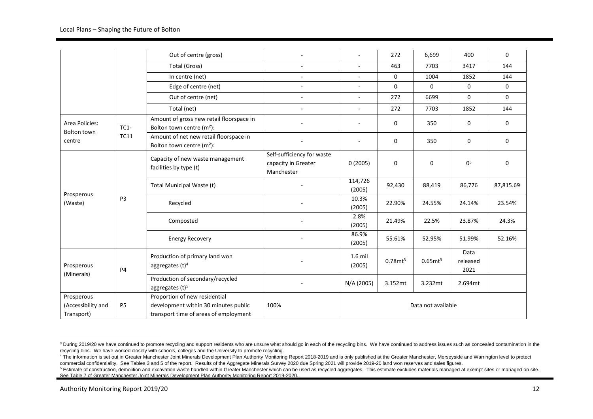|                                                |                | Out of centre (gross)                                                                                          |                                                                 |                     | 272           | 6,699                  | 400                      | $\Omega$    |
|------------------------------------------------|----------------|----------------------------------------------------------------------------------------------------------------|-----------------------------------------------------------------|---------------------|---------------|------------------------|--------------------------|-------------|
|                                                |                | Total (Gross)                                                                                                  |                                                                 | $\sim$              | 463           | 7703                   | 3417                     | 144         |
|                                                |                | In centre (net)                                                                                                | $\sim$                                                          |                     | 0             | 1004                   | 1852                     | 144         |
|                                                |                | Edge of centre (net)                                                                                           | $\sim$                                                          | $\sim$              | $\mathbf 0$   | $\Omega$               | 0                        | $\mathbf 0$ |
|                                                |                | Out of centre (net)                                                                                            | $\mathbf{r}$                                                    | $\sim$              | 272           | 6699                   | $\Omega$                 | $\Omega$    |
|                                                |                | Total (net)                                                                                                    |                                                                 | $\sim$              | 272           | 7703                   | 1852                     | 144         |
| Area Policies:<br>Bolton town                  | $TC1-$         | Amount of gross new retail floorspace in<br>Bolton town centre (m <sup>2</sup> ):                              |                                                                 |                     | $\mathbf{0}$  | 350                    | 0                        | 0           |
| centre                                         | <b>TC11</b>    | Amount of net new retail floorspace in<br>Bolton town centre $(m2)$ :                                          |                                                                 |                     | 0             | 350                    | 0                        | 0           |
|                                                |                | Capacity of new waste management<br>facilities by type (t)                                                     | Self-sufficiency for waste<br>capacity in Greater<br>Manchester | 0(2005)             | $\mathbf 0$   | 0                      | 0 <sup>3</sup>           | $\mathbf 0$ |
| Prosperous                                     | P3             | Total Municipal Waste (t)                                                                                      |                                                                 | 114,726<br>(2005)   | 92,430        | 88,419                 | 86,776                   | 87,815.69   |
| (Waste)                                        |                | Recycled                                                                                                       |                                                                 | 10.3%<br>(2005)     | 22.90%        | 24.55%                 | 24.14%                   | 23.54%      |
|                                                |                | Composted                                                                                                      |                                                                 | 2.8%<br>(2005)      | 21.49%        | 22.5%                  | 23.87%                   | 24.3%       |
|                                                |                | <b>Energy Recovery</b>                                                                                         |                                                                 | 86.9%<br>(2005)     | 55.61%        | 52.95%                 | 51.99%                   | 52.16%      |
| Prosperous<br>(Minerals)                       | P4             | Production of primary land won<br>aggregates $(t)^4$                                                           |                                                                 | $1.6$ mil<br>(2005) | $0.78$ mt $3$ | $0.65$ mt <sup>3</sup> | Data<br>released<br>2021 |             |
|                                                |                | Production of secondary/recycled<br>aggregates $(t)$ <sup>5</sup>                                              |                                                                 | N/A (2005)          | 3.152mt       | 3.232mt                | 2.694mt                  |             |
| Prosperous<br>(Accessibility and<br>Transport) | P <sub>5</sub> | Proportion of new residential<br>development within 30 minutes public<br>transport time of areas of employment | 100%                                                            | Data not available  |               |                        |                          |             |

<sup>&</sup>lt;sup>3</sup> During 2019/20 we have continued to promote recycling and support residents who are unsure what should go in each of the recycling bins. We have continued to address issues such as concealed contamination in the recycling bins. We have worked closely with schools, colleges and the University to promote recycling.

<sup>4</sup> The information is set out in Greater Manchester Joint Minerals Development Plan Authority Monitoring Report 2018-2019 and is only published at the Greater Manchester, Merseyside and Warrington level to protect commercial confidentiality. See Tables 3 and 5 of the report. Results of the Aggregate Minerals Survey 2020 due Spring 2021 will provide 2019-20 land won reserves and sales figures.

<sup>&</sup>lt;sup>5</sup> Estimate of construction, demolition and excavation waste handled within Greater Manchester which can be used as recycled aggregates. This estimate excludes materials managed at exempt sites or managed on site. See Table 7 of Greater Manchester Joint Minerals Development Plan Authority Monitoring Report 2019-2020.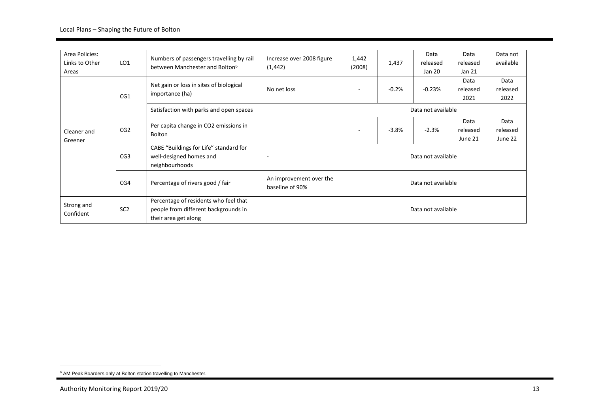| Area Policies:<br>Links to Other<br>Areas | LO <sub>1</sub> | Numbers of passengers travelling by rail<br>between Manchester and Bolton <sup>6</sup>                | Increase over 2008 figure<br>(1, 442)      | 1,442<br>(2008)    | 1,437   | Data<br>released<br>Jan 20 | Data<br>released<br>Jan 21  | Data not<br>available       |  |  |  |
|-------------------------------------------|-----------------|-------------------------------------------------------------------------------------------------------|--------------------------------------------|--------------------|---------|----------------------------|-----------------------------|-----------------------------|--|--|--|
|                                           | CG1             | Net gain or loss in sites of biological<br>importance (ha)                                            | No net loss                                |                    | $-0.2%$ | $-0.23%$                   | Data<br>released<br>2021    | Data<br>released<br>2022    |  |  |  |
|                                           |                 | Satisfaction with parks and open spaces                                                               |                                            | Data not available |         |                            |                             |                             |  |  |  |
| Cleaner and<br>Greener                    | CG <sub>2</sub> | Per capita change in CO2 emissions in<br>Bolton                                                       |                                            |                    | $-3.8%$ | $-2.3%$                    | Data<br>released<br>June 21 | Data<br>released<br>June 22 |  |  |  |
|                                           | CG <sub>3</sub> | CABE "Buildings for Life" standard for<br>well-designed homes and<br>neighbourhoods                   | ٠                                          | Data not available |         |                            |                             |                             |  |  |  |
|                                           | CG4             | Percentage of rivers good / fair                                                                      | An improvement over the<br>baseline of 90% | Data not available |         |                            |                             |                             |  |  |  |
| Strong and<br>Confident                   | SC <sub>2</sub> | Percentage of residents who feel that<br>people from different backgrounds in<br>their area get along |                                            |                    |         | Data not available         |                             |                             |  |  |  |

<sup>6</sup> AM Peak Boarders only at Bolton station travelling to Manchester.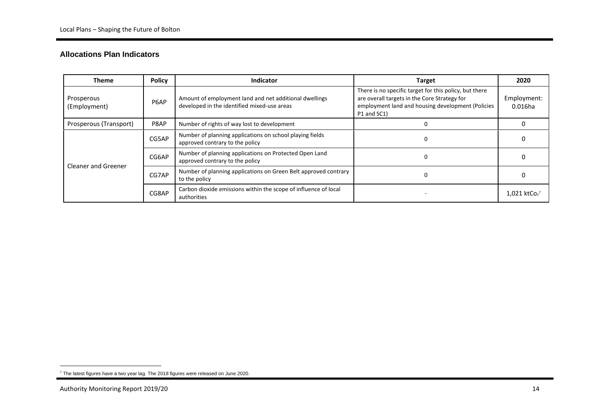#### **Allocations Plan Indicators**

| <b>Theme</b>                       | <b>Policy</b> | <b>Indicator</b>                                                                                      | <b>Target</b>                                                                                                                                                              | 2020                                   |
|------------------------------------|---------------|-------------------------------------------------------------------------------------------------------|----------------------------------------------------------------------------------------------------------------------------------------------------------------------------|----------------------------------------|
| Prosperous<br>P6AP<br>(Employment) |               | Amount of employment land and net additional dwellings<br>developed in the identified mixed-use areas | There is no specific target for this policy, but there<br>are overall targets in the Core Strategy for<br>employment land and housing development (Policies<br>P1 and SC1) | Employment:<br>0.016ha                 |
| Prosperous (Transport)             | P8AP          | Number of rights of way lost to development                                                           |                                                                                                                                                                            |                                        |
|                                    | CG5AP         | Number of planning applications on school playing fields<br>approved contrary to the policy           | $\Omega$                                                                                                                                                                   |                                        |
| Cleaner and Greener                | CG6AP         | Number of planning applications on Protected Open Land<br>approved contrary to the policy             | $\Omega$                                                                                                                                                                   |                                        |
|                                    | CG7AP         | Number of planning applications on Green Belt approved contrary<br>to the policy                      | 0                                                                                                                                                                          |                                        |
|                                    | CG8AP         | Carbon dioxide emissions within the scope of influence of local<br>authorities                        |                                                                                                                                                                            | $1,021$ ktCo <sub>2</sub> <sup>7</sup> |

 $7$  The latest figures have a two year lag. The 2018 figures were released on June 2020.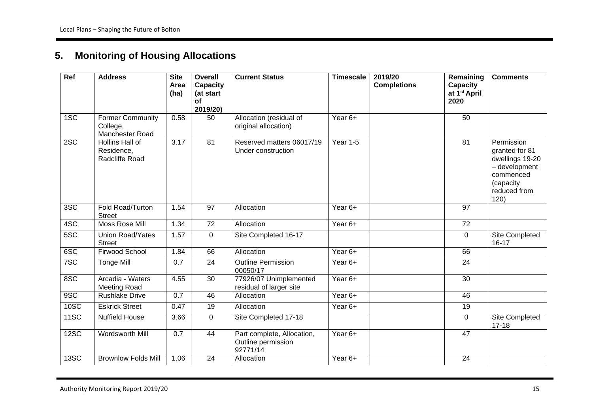## **5. Monitoring of Housing Allocations**

| $\overline{Ref}$ | <b>Address</b>                                         | <b>Site</b><br>Area<br>(ha) | <b>Overall</b><br><b>Capacity</b><br>(at start<br>of<br>2019/20) | <b>Current Status</b>                                        | <b>Timescale</b> | 2019/20<br><b>Completions</b> | Remaining<br>Capacity<br>at 1 <sup>st</sup> April<br>2020 | <b>Comments</b>                                                                                                    |
|------------------|--------------------------------------------------------|-----------------------------|------------------------------------------------------------------|--------------------------------------------------------------|------------------|-------------------------------|-----------------------------------------------------------|--------------------------------------------------------------------------------------------------------------------|
| 1SC              | <b>Former Community</b><br>College,<br>Manchester Road | 0.58                        | 50                                                               | Allocation (residual of<br>original allocation)              | Year 6+          |                               | 50                                                        |                                                                                                                    |
| 2SC              | <b>Hollins Hall of</b><br>Residence,<br>Radcliffe Road | 3.17                        | $\overline{81}$                                                  | Reserved matters 06017/19<br>Under construction              | Year 1-5         |                               | 81                                                        | Permission<br>granted for 81<br>dwellings 19-20<br>- development<br>commenced<br>(capacity<br>reduced from<br>120) |
| 3SC              | Fold Road/Turton<br><b>Street</b>                      | 1.54                        | 97                                                               | Allocation                                                   | Year 6+          |                               | 97                                                        |                                                                                                                    |
| 4SC              | Moss Rose Mill                                         | 1.34                        | 72                                                               | Allocation                                                   | Year 6+          |                               | 72                                                        |                                                                                                                    |
| 5SC              | Union Road/Yates<br><b>Street</b>                      | 1.57                        | $\Omega$                                                         | Site Completed 16-17                                         |                  |                               | $\Omega$                                                  | Site Completed<br>$16 - 17$                                                                                        |
| 6SC              | Firwood School                                         | 1.84                        | 66                                                               | Allocation                                                   | Year 6+          |                               | 66                                                        |                                                                                                                    |
| 7SC              | <b>Tonge Mill</b>                                      | 0.7                         | 24                                                               | <b>Outline Permission</b><br>00050/17                        | Year 6+          |                               | 24                                                        |                                                                                                                    |
| 8SC              | Arcadia - Waters<br><b>Meeting Road</b>                | 4.55                        | 30                                                               | 77926/07 Unimplemented<br>residual of larger site            | Year 6+          |                               | 30                                                        |                                                                                                                    |
| 9SC              | <b>Rushlake Drive</b>                                  | 0.7                         | 46                                                               | Allocation                                                   | Year 6+          |                               | 46                                                        |                                                                                                                    |
| 10SC             | <b>Eskrick Street</b>                                  | 0.47                        | 19                                                               | Allocation                                                   | Year 6+          |                               | 19                                                        |                                                                                                                    |
| 11SC             | <b>Nuffield House</b>                                  | 3.66                        | $\mathbf 0$                                                      | Site Completed 17-18                                         |                  |                               | $\Omega$                                                  | Site Completed<br>$17 - 18$                                                                                        |
| 12SC             | Wordsworth Mill                                        | 0.7                         | 44                                                               | Part complete, Allocation,<br>Outline permission<br>92771/14 | Year 6+          |                               | 47                                                        |                                                                                                                    |
| <b>13SC</b>      | <b>Brownlow Folds Mill</b>                             | 1.06                        | $\overline{24}$                                                  | Allocation                                                   | Year 6+          |                               | 24                                                        |                                                                                                                    |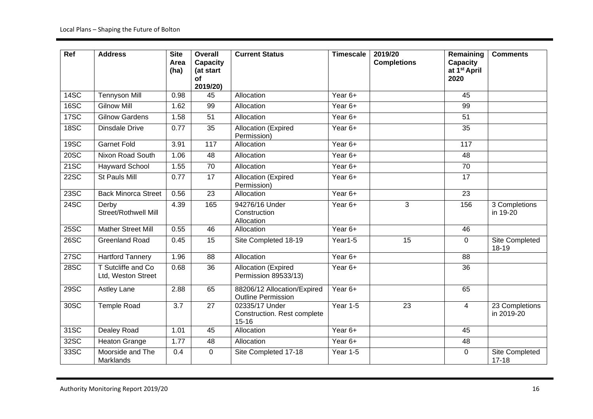| Ref         | <b>Address</b>                           | <b>Site</b><br>Area<br>(ha) | Overall<br>Capacity<br>(at start<br><b>of</b><br>2019/20) | <b>Current Status</b>                                      | <b>Timescale</b> | 2019/20<br><b>Completions</b> | Remaining<br>Capacity<br>at 1 <sup>st</sup> April<br>2020 | <b>Comments</b>              |
|-------------|------------------------------------------|-----------------------------|-----------------------------------------------------------|------------------------------------------------------------|------------------|-------------------------------|-----------------------------------------------------------|------------------------------|
| 14SC        | <b>Tennyson Mill</b>                     | 0.98                        | 45                                                        | Allocation                                                 | Year 6+          |                               | 45                                                        |                              |
| 16SC        | <b>Gilnow Mill</b>                       | 1.62                        | 99                                                        | Allocation                                                 | Year 6+          |                               | 99                                                        |                              |
| 17SC        | <b>Gilnow Gardens</b>                    | 1.58                        | 51                                                        | Allocation                                                 | Year 6+          |                               | 51                                                        |                              |
| 18SC        | <b>Dinsdale Drive</b>                    | 0.77                        | $\overline{35}$                                           | <b>Allocation (Expired</b><br>Permission)                  | Year 6+          |                               | 35                                                        |                              |
| 19SC        | <b>Garnet Fold</b>                       | 3.91                        | $\frac{117}{117}$                                         | Allocation                                                 | Year 6+          |                               | 117                                                       |                              |
| 20SC        | Nixon Road South                         | 1.06                        | 48                                                        | Allocation                                                 | Year 6+          |                               | 48                                                        |                              |
| 21SC        | <b>Hayward School</b>                    | 1.55                        | 70                                                        | Allocation                                                 | Year 6+          |                               | 70                                                        |                              |
| 22SC        | <b>St Pauls Mill</b>                     | 0.77                        | 17                                                        | Allocation (Expired<br>Permission)                         | Year 6+          |                               | 17                                                        |                              |
| 23SC        | <b>Back Minorca Street</b>               | 0.56                        | $\overline{23}$                                           | Allocation                                                 | Year 6+          |                               | 23                                                        |                              |
| 24SC        | Derby<br>Street/Rothwell Mill            | 4.39                        | 165                                                       | 94276/16 Under<br>Construction<br>Allocation               | Year 6+          | 3                             | 156                                                       | 3 Completions<br>in 19-20    |
| 25SC        | <b>Mather Street Mill</b>                | 0.55                        | 46                                                        | Allocation                                                 | Year 6+          |                               | 46                                                        |                              |
| 26SC        | <b>Greenland Road</b>                    | 0.45                        | 15                                                        | Site Completed 18-19                                       | Year1-5          | 15                            | 0                                                         | Site Completed<br>18-19      |
| <b>27SC</b> | <b>Hartford Tannery</b>                  | 1.96                        | 88                                                        | Allocation                                                 | Year 6+          |                               | 88                                                        |                              |
| 28SC        | T Sutcliffe and Co<br>Ltd, Weston Street | 0.68                        | 36                                                        | Allocation (Expired<br>Permission 89533/13)                | Year 6+          |                               | 36                                                        |                              |
| 29SC        | <b>Astley Lane</b>                       | 2.88                        | 65                                                        | 88206/12 Allocation/Expired<br><b>Outline Permission</b>   | Year 6+          |                               | 65                                                        |                              |
| 30SC        | <b>Temple Road</b>                       | 3.7                         | $\overline{27}$                                           | 02335/17 Under<br>Construction. Rest complete<br>$15 - 16$ | <b>Year 1-5</b>  | $\overline{23}$               | $\overline{4}$                                            | 23 Completions<br>in 2019-20 |
| 31SC        | Dealey Road                              | 1.01                        | 45                                                        | Allocation                                                 | Year $6+$        |                               | 45                                                        |                              |
| 32SC        | <b>Heaton Grange</b>                     | 1.77                        | 48                                                        | Allocation                                                 | Year 6+          |                               | 48                                                        |                              |
| 33SC        | Moorside and The<br>Marklands            | 0.4                         | $\overline{0}$                                            | Site Completed 17-18                                       | Year 1-5         |                               | $\Omega$                                                  | Site Completed<br>$17 - 18$  |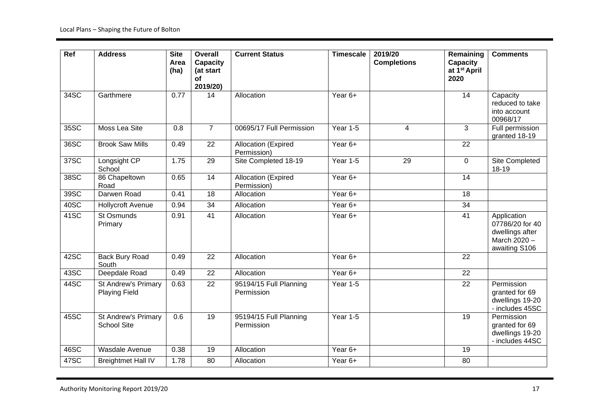| $\overline{Ref}$ | <b>Address</b>                              | <b>Site</b><br>Area<br>(ha) | <b>Overall</b><br><b>Capacity</b><br>(at start<br>of<br>2019/20) | <b>Current Status</b>                     | <b>Timescale</b> | 2019/20<br><b>Completions</b> | Remaining<br>Capacity<br>at 1 <sup>st</sup> April<br>2020 | <b>Comments</b>                                                                    |
|------------------|---------------------------------------------|-----------------------------|------------------------------------------------------------------|-------------------------------------------|------------------|-------------------------------|-----------------------------------------------------------|------------------------------------------------------------------------------------|
| 34SC             | Garthmere                                   | 0.77                        | 14                                                               | Allocation                                | Year 6+          |                               | 14                                                        | Capacity<br>reduced to take<br>into account<br>00968/17                            |
| 35SC             | Moss Lea Site                               | 0.8                         | $\overline{7}$                                                   | 00695/17 Full Permission                  | Year 1-5         | 4                             | $\overline{3}$                                            | Full permission<br>granted 18-19                                                   |
| 36SC             | <b>Brook Saw Mills</b>                      | 0.49                        | $\overline{22}$                                                  | Allocation (Expired<br>Permission)        | Year 6+          |                               | 22                                                        |                                                                                    |
| 37SC             | Longsight CP<br>School                      | 1.75                        | $\overline{29}$                                                  | Site Completed 18-19                      | Year 1-5         | 29                            | $\mathbf 0$                                               | Site Completed<br>18-19                                                            |
| 38SC             | 86 Chapeltown<br>Road                       | 0.65                        | $\overline{14}$                                                  | <b>Allocation (Expired</b><br>Permission) | Year 6+          |                               | 14                                                        |                                                                                    |
| 39SC             | Darwen Road                                 | 0.41                        | 18                                                               | Allocation                                | Year 6+          |                               | 18                                                        |                                                                                    |
| 40SC             | <b>Hollycroft Avenue</b>                    | 0.94                        | 34                                                               | Allocation                                | Year 6+          |                               | $\overline{34}$                                           |                                                                                    |
| 41SC             | St Osmunds<br>Primary                       | 0.91                        | 41                                                               | Allocation                                | Year 6+          |                               | 41                                                        | Application<br>07786/20 for 40<br>dwellings after<br>March 2020 -<br>awaiting S106 |
| 42SC             | <b>Back Bury Road</b><br>South              | 0.49                        | $\overline{22}$                                                  | Allocation                                | Year 6+          |                               | 22                                                        |                                                                                    |
| 43SC             | Deepdale Road                               | 0.49                        | $\overline{22}$                                                  | Allocation                                | Year 6+          |                               | 22                                                        |                                                                                    |
| 44SC             | St Andrew's Primary<br><b>Playing Field</b> | 0.63                        | 22                                                               | 95194/15 Full Planning<br>Permission      | <b>Year 1-5</b>  |                               | 22                                                        | Permission<br>granted for 69<br>dwellings 19-20<br>- includes 45SC                 |
| 45SC             | St Andrew's Primary<br><b>School Site</b>   | 0.6                         | 19                                                               | 95194/15 Full Planning<br>Permission      | <b>Year 1-5</b>  |                               | 19                                                        | Permission<br>granted for 69<br>dwellings 19-20<br>- includes 44SC                 |
| 46SC             | Wasdale Avenue                              | 0.38                        | 19                                                               | Allocation                                | Year 6+          |                               | 19                                                        |                                                                                    |
| 47SC             | <b>Breightmet Hall IV</b>                   | 1.78                        | 80                                                               | Allocation                                | Year 6+          |                               | 80                                                        |                                                                                    |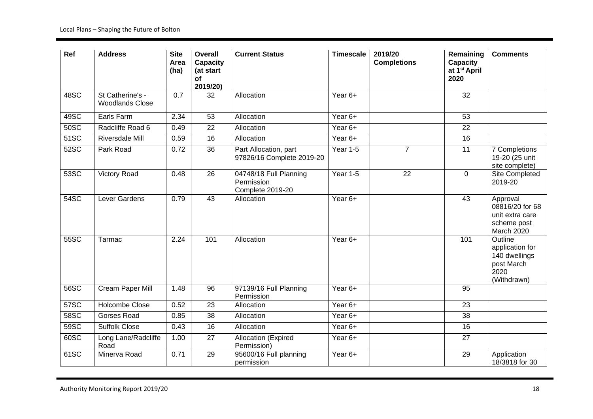| Ref         | <b>Address</b>                             | <b>Site</b><br>Area<br>(ha) | Overall<br><b>Capacity</b><br>(at start<br>of<br>2019/20) | <b>Current Status</b>                                    | <b>Timescale</b> | 2019/20<br><b>Completions</b> | Remaining<br>Capacity<br>at 1 <sup>st</sup> April<br>2020 | <b>Comments</b>                                                                  |
|-------------|--------------------------------------------|-----------------------------|-----------------------------------------------------------|----------------------------------------------------------|------------------|-------------------------------|-----------------------------------------------------------|----------------------------------------------------------------------------------|
| 48SC        | St Catherine's -<br><b>Woodlands Close</b> | 0.7                         | 32                                                        | Allocation                                               | Year 6+          |                               | 32                                                        |                                                                                  |
| 49SC        | Earls Farm                                 | 2.34                        | 53                                                        | Allocation                                               | Year 6+          |                               | $\overline{53}$                                           |                                                                                  |
| 50SC        | Radcliffe Road 6                           | 0.49                        | $\overline{22}$                                           | Allocation                                               | Year 6+          |                               | 22                                                        |                                                                                  |
| 51SC        | <b>Riversdale Mill</b>                     | 0.59                        | 16                                                        | Allocation                                               | Year 6+          |                               | 16                                                        |                                                                                  |
| 52SC        | Park Road                                  | 0.72                        | 36                                                        | Part Allocation, part<br>97826/16 Complete 2019-20       | <b>Year 1-5</b>  | $\overline{7}$                | 11                                                        | 7 Completions<br>19-20 (25 unit<br>site complete)                                |
| 53SC        | <b>Victory Road</b>                        | 0.48                        | 26                                                        | 04748/18 Full Planning<br>Permission<br>Complete 2019-20 | <b>Year 1-5</b>  | 22                            | $\overline{0}$                                            | Site Completed<br>2019-20                                                        |
| 54SC        | Lever Gardens                              | 0.79                        | 43                                                        | Allocation                                               | Year 6+          |                               | 43                                                        | Approval<br>08816/20 for 68<br>unit extra care<br>scheme post<br>March 2020      |
| 55SC        | Tarmac                                     | 2.24                        | 101                                                       | Allocation                                               | Year 6+          |                               | 101                                                       | Outline<br>application for<br>140 dwellings<br>post March<br>2020<br>(Withdrawn) |
| 56SC        | <b>Cream Paper Mill</b>                    | 1.48                        | 96                                                        | 97139/16 Full Planning<br>Permission                     | Year 6+          |                               | 95                                                        |                                                                                  |
| 57SC        | <b>Holcombe Close</b>                      | 0.52                        | $\overline{23}$                                           | Allocation                                               | Year 6+          |                               | 23                                                        |                                                                                  |
| <b>58SC</b> | <b>Gorses Road</b>                         | 0.85                        | $\overline{38}$                                           | Allocation                                               | Year 6+          |                               | 38                                                        |                                                                                  |
| 59SC        | <b>Suffolk Close</b>                       | 0.43                        | 16                                                        | Allocation                                               | Year 6+          |                               | 16                                                        |                                                                                  |
| 60SC        | Long Lane/Radcliffe<br>Road                | 1.00                        | 27                                                        | Allocation (Expired<br>Permission)                       | Year 6+          |                               | 27                                                        |                                                                                  |
| 61SC        | Minerva Road                               | 0.71                        | 29                                                        | 95600/16 Full planning<br>permission                     | Year 6+          |                               | 29                                                        | Application<br>18/3818 for 30                                                    |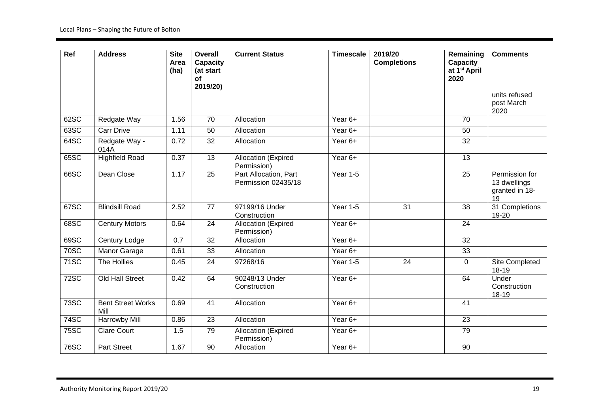| Ref         | <b>Address</b>                   | <b>Site</b><br>Area<br>(ha) | Overall<br><b>Capacity</b><br>(at start<br>of<br>2019/20) | <b>Current Status</b>                        | <b>Timescale</b> | 2019/20<br><b>Completions</b> | Remaining<br>Capacity<br>at 1 <sup>st</sup> April<br>2020 | <b>Comments</b>                                        |
|-------------|----------------------------------|-----------------------------|-----------------------------------------------------------|----------------------------------------------|------------------|-------------------------------|-----------------------------------------------------------|--------------------------------------------------------|
|             |                                  |                             |                                                           |                                              |                  |                               |                                                           | units refused<br>post March<br>2020                    |
| 62SC        | Redgate Way                      | 1.56                        | $\overline{70}$                                           | Allocation                                   | Year 6+          |                               | 70                                                        |                                                        |
| 63SC        | <b>Carr Drive</b>                | 1.11                        | 50                                                        | Allocation                                   | Year 6+          |                               | 50                                                        |                                                        |
| 64SC        | Redgate Way -<br>014A            | 0.72                        | 32                                                        | Allocation                                   | Year 6+          |                               | 32                                                        |                                                        |
| 65SC        | <b>Highfield Road</b>            | 0.37                        | 13                                                        | <b>Allocation (Expired</b><br>Permission)    | Year 6+          |                               | 13                                                        |                                                        |
| 66SC        | Dean Close                       | 1.17                        | $\overline{25}$                                           | Part Allocation, Part<br>Permission 02435/18 | Year $1-5$       |                               | $\overline{25}$                                           | Permission for<br>13 dwellings<br>granted in 18-<br>19 |
| 67SC        | <b>Blindsill Road</b>            | 2.52                        | $\overline{77}$                                           | 97199/16 Under<br>Construction               | Year $1-5$       | $\overline{31}$               | $\overline{38}$                                           | 31 Completions<br>19-20                                |
| 68SC        | <b>Century Motors</b>            | 0.64                        | 24                                                        | Allocation (Expired<br>Permission)           | Year 6+          |                               | 24                                                        |                                                        |
| 69SC        | Century Lodge                    | 0.7                         | 32                                                        | Allocation                                   | Year 6+          |                               | 32                                                        |                                                        |
| <b>70SC</b> | <b>Manor Garage</b>              | 0.61                        | 33                                                        | Allocation                                   | Year 6+          |                               | 33                                                        |                                                        |
| 71SC        | The Hollies                      | 0.45                        | 24                                                        | 97268/16                                     | <b>Year 1-5</b>  | 24                            | 0                                                         | Site Completed<br>18-19                                |
| <b>72SC</b> | <b>Old Hall Street</b>           | 0.42                        | 64                                                        | 90248/13 Under<br>Construction               | Year 6+          |                               | 64                                                        | Under<br>Construction<br>18-19                         |
| <b>73SC</b> | <b>Bent Street Works</b><br>Mill | 0.69                        | 41                                                        | Allocation                                   | Year 6+          |                               | 41                                                        |                                                        |
| 74SC        | Harrowby Mill                    | 0.86                        | 23                                                        | Allocation                                   | Year 6+          |                               | 23                                                        |                                                        |
| <b>75SC</b> | <b>Clare Court</b>               | 1.5                         | $\overline{79}$                                           | Allocation (Expired<br>Permission)           | Year 6+          |                               | 79                                                        |                                                        |
| <b>76SC</b> | <b>Part Street</b>               | 1.67                        | 90                                                        | Allocation                                   | Year 6+          |                               | 90                                                        |                                                        |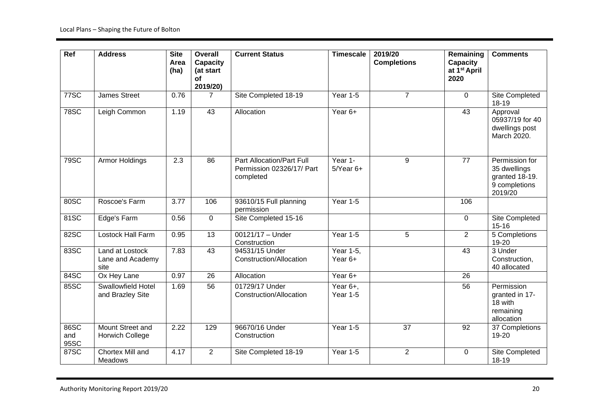| Ref                 | <b>Address</b>                              | <b>Site</b><br>Area<br>(ha) | Overall<br>Capacity<br>(at start<br><b>of</b><br>2019/20) | <b>Current Status</b>                                               | <b>Timescale</b>         | 2019/20<br><b>Completions</b> | Remaining<br>Capacity<br>at 1 <sup>st</sup> April<br>2020 | <b>Comments</b>                                                              |
|---------------------|---------------------------------------------|-----------------------------|-----------------------------------------------------------|---------------------------------------------------------------------|--------------------------|-------------------------------|-----------------------------------------------------------|------------------------------------------------------------------------------|
| <b>77SC</b>         | <b>James Street</b>                         | 0.76                        | $\overline{7}$                                            | Site Completed 18-19                                                | <b>Year 1-5</b>          | $\overline{7}$                | $\Omega$                                                  | Site Completed<br>18-19                                                      |
| <b>78SC</b>         | Leigh Common                                | 1.19                        | 43                                                        | Allocation                                                          | Year 6+                  |                               | 43                                                        | Approval<br>05937/19 for 40<br>dwellings post<br>March 2020.                 |
| 79SC                | Armor Holdings                              | $\overline{2.3}$            | $\overline{86}$                                           | Part Allocation/Part Full<br>Permission 02326/17/ Part<br>completed | Year 1-<br>$5$ Year $6+$ | 9                             | $\overline{77}$                                           | Permission for<br>35 dwellings<br>granted 18-19.<br>9 completions<br>2019/20 |
| 80SC                | Roscoe's Farm                               | 3.77                        | 106                                                       | 93610/15 Full planning<br>permission                                | Year 1-5                 |                               | 106                                                       |                                                                              |
| 81SC                | Edge's Farm                                 | 0.56                        | $\mathbf 0$                                               | Site Completed 15-16                                                |                          |                               | 0                                                         | Site Completed<br>$15 - 16$                                                  |
| 82SC                | <b>Lostock Hall Farm</b>                    | 0.95                        | $\overline{13}$                                           | $00121/17 -$ Under<br>Construction                                  | Year 1-5                 | 5                             | $\overline{2}$                                            | 5 Completions<br>19-20                                                       |
| 83SC                | Land at Lostock<br>Lane and Academy<br>site | 7.83                        | $\overline{43}$                                           | 94531/15 Under<br>Construction/Allocation                           | Year 1-5,<br>Year 6+     |                               | 43                                                        | 3 Under<br>Construction,<br>40 allocated                                     |
| 84SC                | Ox Hey Lane                                 | 0.97                        | 26                                                        | Allocation                                                          | Year 6+                  |                               | 26                                                        |                                                                              |
| 85SC                | Swallowfield Hotel<br>and Brazley Site      | 1.69                        | 56                                                        | 01729/17 Under<br>Construction/Allocation                           | Year 6+,<br>Year 1-5     |                               | 56                                                        | Permission<br>granted in 17-<br>18 with<br>remaining<br>allocation           |
| 86SC<br>and<br>95SC | Mount Street and<br><b>Horwich College</b>  | 2.22                        | 129                                                       | 96670/16 Under<br>Construction                                      | Year 1-5                 | $\overline{37}$               | 92                                                        | 37 Completions<br>19-20                                                      |
| 87SC                | Chortex Mill and<br><b>Meadows</b>          | 4.17                        | $\overline{2}$                                            | Site Completed 18-19                                                | Year 1-5                 | $\overline{2}$                | $\mathbf 0$                                               | Site Completed<br>18-19                                                      |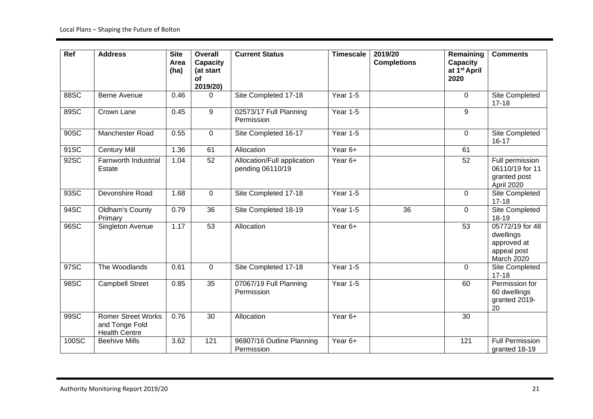| Ref   | <b>Address</b>                                                      | <b>Site</b><br>Area<br>(ha) | <b>Overall</b><br><b>Capacity</b><br>(at start<br><b>of</b><br>2019/20) | <b>Current Status</b>                           | <b>Timescale</b> | 2019/20<br><b>Completions</b> | Remaining<br>Capacity<br>at 1 <sup>st</sup> April<br>2020 | <b>Comments</b>                                                          |
|-------|---------------------------------------------------------------------|-----------------------------|-------------------------------------------------------------------------|-------------------------------------------------|------------------|-------------------------------|-----------------------------------------------------------|--------------------------------------------------------------------------|
| 88SC  | <b>Berne Avenue</b>                                                 | 0.46                        | $\Omega$                                                                | Site Completed 17-18                            | Year 1-5         |                               | $\Omega$                                                  | Site Completed<br>$17 - 18$                                              |
| 89SC  | Crown Lane                                                          | 0.45                        | 9                                                                       | 02573/17 Full Planning<br>Permission            | Year 1-5         |                               | 9                                                         |                                                                          |
| 90SC  | <b>Manchester Road</b>                                              | 0.55                        | $\mathbf 0$                                                             | Site Completed 16-17                            | Year 1-5         |                               | 0                                                         | Site Completed<br>$16 - 17$                                              |
| 91SC  | <b>Century Mill</b>                                                 | 1.36                        | 61                                                                      | Allocation                                      | Year 6+          |                               | 61                                                        |                                                                          |
| 92SC  | <b>Farnworth Industrial</b><br>Estate                               | 1.04                        | 52                                                                      | Allocation/Full application<br>pending 06110/19 | Year 6+          |                               | 52                                                        | Full permission<br>06110/19 for 11<br>granted post<br>April 2020         |
| 93SC  | Devonshire Road                                                     | 1.68                        | 0                                                                       | Site Completed 17-18                            | Year 1-5         |                               | 0                                                         | Site Completed<br>$17 - 18$                                              |
| 94SC  | <b>Oldham's County</b><br>Primary                                   | 0.79                        | 36                                                                      | Site Completed 18-19                            | Year 1-5         | 36                            | 0                                                         | Site Completed<br>18-19                                                  |
| 96SC  | Singleton Avenue                                                    | 1.17                        | 53                                                                      | Allocation                                      | Year 6+          |                               | 53                                                        | 05772/19 for 48<br>dwellings<br>approved at<br>appeal post<br>March 2020 |
| 97SC  | The Woodlands                                                       | 0.61                        | $\mathbf 0$                                                             | Site Completed 17-18                            | Year 1-5         |                               | 0                                                         | Site Completed<br>$17 - 18$                                              |
| 98SC  | <b>Campbell Street</b>                                              | 0.85                        | 35                                                                      | 07067/19 Full Planning<br>Permission            | Year 1-5         |                               | 60                                                        | Permission for<br>60 dwellings<br>granted 2019-<br>20                    |
| 99SC  | <b>Romer Street Works</b><br>and Tonge Fold<br><b>Health Centre</b> | 0.76                        | $\overline{30}$                                                         | Allocation                                      | Year 6+          |                               | 30                                                        |                                                                          |
| 100SC | <b>Beehive Mills</b>                                                | 3.62                        | 121                                                                     | 96907/16 Outline Planning<br>Permission         | Year 6+          |                               | 121                                                       | <b>Full Permission</b><br>granted 18-19                                  |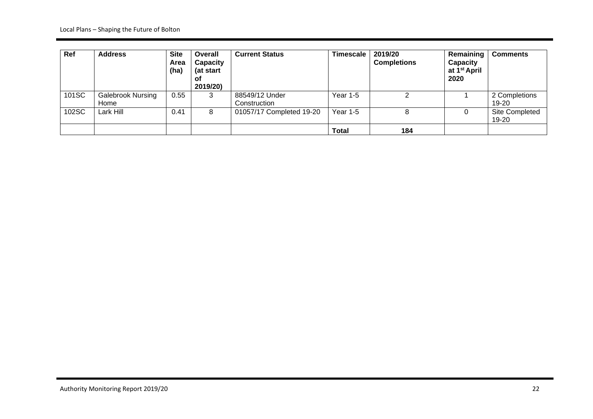| Ref   | <b>Address</b>                   | <b>Site</b><br>Area<br>(ha) | Overall<br><b>Capacity</b><br>(at start<br>. ot<br>2019/20) | <b>Current Status</b>          | <b>Timescale</b> | 2019/20<br><b>Completions</b> | Remaining<br>Capacity<br>at 1 <sup>st</sup> April<br>2020 | <b>Comments</b>                |
|-------|----------------------------------|-----------------------------|-------------------------------------------------------------|--------------------------------|------------------|-------------------------------|-----------------------------------------------------------|--------------------------------|
| 101SC | <b>Galebrook Nursing</b><br>Home | 0.55                        | 3                                                           | 88549/12 Under<br>Construction | <b>Year 1-5</b>  |                               |                                                           | 2 Completions<br>19-20         |
| 102SC | Lark Hill                        | 0.41                        | 8                                                           | 01057/17 Completed 19-20       | Year $1-5$       | 8                             | 0                                                         | <b>Site Completed</b><br>19-20 |
|       |                                  |                             |                                                             |                                | <b>Total</b>     | 184                           |                                                           |                                |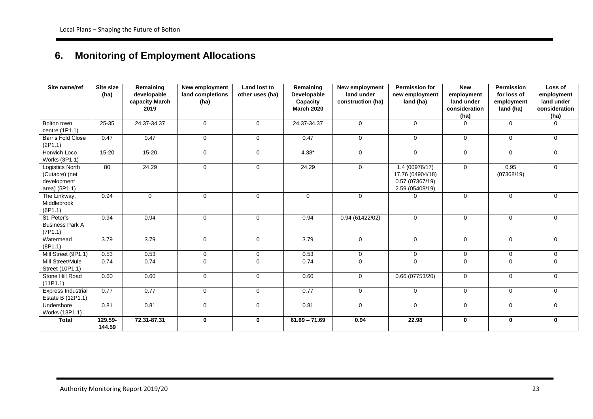# **6. Monitoring of Employment Allocations**

| Site name/ref                                                     | Site size<br>(ha) | Remaining<br>developable<br>capacity March<br>2019 | New employment<br>land completions<br>(ha) | <b>Land lost to</b><br>other uses (ha) | Remaining<br><b>Developable</b><br>Capacity<br><b>March 2020</b> | <b>New employment</b><br>land under<br>construction (ha) | <b>Permission for</b><br>new employment<br>land (ha)                    | <b>New</b><br>employment<br>land under<br>consideration<br>(ha) | <b>Permission</b><br>for loss of<br>employment<br>land (ha) | Loss of<br>employment<br>land under<br>consideration<br>(ha) |
|-------------------------------------------------------------------|-------------------|----------------------------------------------------|--------------------------------------------|----------------------------------------|------------------------------------------------------------------|----------------------------------------------------------|-------------------------------------------------------------------------|-----------------------------------------------------------------|-------------------------------------------------------------|--------------------------------------------------------------|
| Bolton town<br>centre (1P1.1)                                     | 25-35             | 24.37-34.37                                        | $\mathbf 0$                                | $\mathbf 0$                            | 24.37-34.37                                                      | $\mathbf 0$                                              | $\mathbf 0$                                                             | $\Omega$                                                        | $\mathbf 0$                                                 | $\mathbf{0}$                                                 |
| Barr's Fold Close<br>(2P1.1)                                      | 0.47              | 0.47                                               | $\Omega$                                   | $\mathbf 0$                            | 0.47                                                             | $\Omega$                                                 | $\mathbf 0$                                                             | $\Omega$                                                        | $\Omega$                                                    | $\Omega$                                                     |
| Horwich Loco<br>Works (3P1.1)                                     | $15 - 20$         | $15 - 20$                                          | 0                                          | $\mathbf 0$                            | $4.38*$                                                          | $\mathbf 0$                                              | $\mathbf 0$                                                             | $\mathbf 0$                                                     | $\mathbf 0$                                                 | $\mathbf{0}$                                                 |
| Logistics North<br>(Cutacre) (net<br>development<br>area) (5P1.1) | 80                | 24.29                                              | 0                                          | $\mathbf 0$                            | 24.29                                                            | $\mathbf 0$                                              | 1.4 (00976/17)<br>17.76 (04904/18)<br>0.57(07367/19)<br>2.59 (05408/19) | $\mathbf 0$                                                     | 0.95<br>(07368/19)                                          | $\mathbf 0$                                                  |
| The Linkway,<br>Middlebrook<br>(6P1.1)                            | 0.94              | $\mathbf 0$                                        | $\mathbf 0$                                | 0                                      | $\mathbf 0$                                                      | $\mathbf 0$                                              | 0                                                                       | $\mathbf 0$                                                     | $\mathbf 0$                                                 | $\mathbf 0$                                                  |
| St. Peter's<br><b>Business Park A</b><br>(7P1.1)                  | 0.94              | 0.94                                               | $\Omega$                                   | $\mathbf 0$                            | 0.94                                                             | 0.94(61422/02)                                           | $\mathbf 0$                                                             | $\Omega$                                                        | $\Omega$                                                    | $\Omega$                                                     |
| Watermead<br>(BP1.1)                                              | 3.79              | 3.79                                               | 0                                          | $\mathbf 0$                            | 3.79                                                             | $\mathbf 0$                                              | $\mathbf 0$                                                             | $\mathbf 0$                                                     | $\mathbf 0$                                                 | $\mathbf{0}$                                                 |
| Mill Street (9P1.1)                                               | 0.53              | 0.53                                               | 0                                          | 0                                      | 0.53                                                             | 0                                                        | $\mathbf 0$                                                             | $\mathbf 0$                                                     | $\mathbf 0$                                                 | $\mathbf 0$                                                  |
| Mill Street/Mule<br>Street (10P1.1)                               | 0.74              | 0.74                                               | $\mathbf 0$                                | $\mathbf 0$                            | 0.74                                                             | $\mathbf 0$                                              | $\mathbf 0$                                                             | $\Omega$                                                        | $\mathbf 0$                                                 | $\mathbf{0}$                                                 |
| Stone Hill Road<br>(11P1.1)                                       | 0.60              | 0.60                                               | $\mathbf 0$                                | $\mathbf 0$                            | 0.60                                                             | $\mathbf 0$                                              | 0.66(07753/20)                                                          | $\mathbf 0$                                                     | $\mathbf 0$                                                 | $\mathbf{0}$                                                 |
| <b>Express Industrial</b><br>Estate B (12P1.1)                    | 0.77              | 0.77                                               | 0                                          | 0                                      | 0.77                                                             | $\Omega$                                                 | $\mathbf{0}$                                                            | $\Omega$                                                        | $\mathbf 0$                                                 | $\mathbf{0}$                                                 |
| Undershore<br>Works (13P1.1)                                      | 0.81              | 0.81                                               | $\Omega$                                   | $\mathbf 0$                            | 0.81                                                             | $\Omega$                                                 | $\Omega$                                                                | $\Omega$                                                        | $\Omega$                                                    | $\Omega$                                                     |
| <b>Total</b>                                                      | 129.59-<br>144.59 | 72.31-87.31                                        | 0                                          | $\mathbf 0$                            | $61.69 - 71.69$                                                  | 0.94                                                     | 22.98                                                                   | $\bf{0}$                                                        | $\bf{0}$                                                    | $\mathbf 0$                                                  |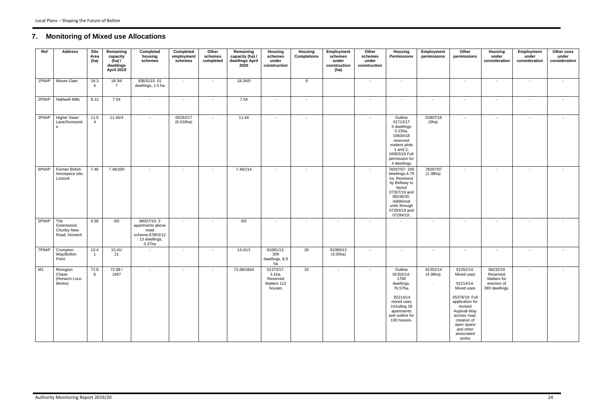## **7. Monitoring of Mixed use Allocations**

| Ref         | <b>Address</b>                                    | <b>Site</b><br>Area<br>(ha) | Remaining<br>capacity<br>$(ha)$ /<br>dwellings<br><b>April 2019</b> | Completed<br>housing<br>schemes                                                              | Completed<br>employment<br>schemes | Other<br>schemes<br>completed | Remaining<br>capacity (ha) /<br>dwellings April<br>2020 | <b>Housing</b><br>schemes<br>under<br>construction       | Housing<br><b>Completions</b> | Employment<br>schemes<br>under<br>construction<br>(ha) | Other<br>schemes<br>under<br>construction | Housing<br><b>Permissions</b>                                                                                                                                         | Employment<br>permissions      | Other<br>permissions                                                                                                                                                                                       | <b>Housing</b><br>under<br>consideration                             | Employment<br>under<br>consideration | Other uses<br>under<br>consideration |
|-------------|---------------------------------------------------|-----------------------------|---------------------------------------------------------------------|----------------------------------------------------------------------------------------------|------------------------------------|-------------------------------|---------------------------------------------------------|----------------------------------------------------------|-------------------------------|--------------------------------------------------------|-------------------------------------------|-----------------------------------------------------------------------------------------------------------------------------------------------------------------------|--------------------------------|------------------------------------------------------------------------------------------------------------------------------------------------------------------------------------------------------------|----------------------------------------------------------------------|--------------------------------------|--------------------------------------|
| 1P6AP       | Moses Gate                                        | 18.3<br>$\overline{4}$      | 18.34/<br>$\overline{7}$                                            | 93831/15:51<br>dwellings, 1.5 ha                                                             | $\sim$                             | $\sim$                        | 18.34/0                                                 |                                                          | 9                             |                                                        | $\sim$                                    | $\sim$                                                                                                                                                                |                                | $\sim$                                                                                                                                                                                                     | $\sim$                                                               | $\sim$                               | $\sim$                               |
| 2P6AP       | <b>Halliwell Mills</b>                            | 8.13                        | 7.54                                                                | $\sim$                                                                                       | $\sim$                             | $\sim$                        | 7.54                                                    | $\sim$                                                   | $\blacksquare$                |                                                        | $\sim$                                    | $\sim$                                                                                                                                                                | $\sim$                         | $\sim$                                                                                                                                                                                                     | $\sim$                                                               | $\sim$                               | $\sim$                               |
| 3P6AP       | Higher Swan<br>Lane/Sunnysid<br>e                 | 11.5<br>$\overline{4}$      | 11.46/4                                                             | $\sim$                                                                                       | 00292/17<br>(0.016ha)              | $\sim$                        | 11.44                                                   | $\sim$                                                   | $\blacksquare$                |                                                        | $\sim$                                    | Outline<br>01713/17<br>5 dwellings<br>$0.23$ ha,<br>03504/18<br>reserved<br>matters plots<br>1 and 2,<br>04903/18 Full<br>permission for<br>4 dwellings               | 02807/18<br>(0ha)              | $\sim$                                                                                                                                                                                                     | $\sim$                                                               | $\sim$                               | $\sim$                               |
| 6P6AP       | Former British<br>Aerospace site,<br>Lostock      | 7.46                        | 7.46/200                                                            | $\blacksquare$                                                                               | $\sim$                             | $\sim$                        | 7.46/214                                                | $\sim$                                                   | $\sim$                        |                                                        | $\sim$                                    | 78297/07: 200<br>dwellings, 4.79<br>ha. Revisions<br>by Bellway to<br>layout<br>07307/19 and<br>08196/20.<br>Additional<br>units through<br>07283/19 and<br>07284/19. | 78297/07<br>(1.38ha)           | $\sim$                                                                                                                                                                                                     | $\sim$                                                               | $\sim$                               |                                      |
| 5P6AP   The | Greenwood,<br><b>Chorley New</b><br>Road, Horwich | 0.58                        | 0/0                                                                 | 96027/16:3<br>apartments above<br>retail<br>scheme, 87803/12<br>: 13 dwellings,<br>$0.37$ ha | $\sim$                             | $\sim$                        | 0/0                                                     | $\sim$                                                   | $\sim$                        |                                                        | $\sim$                                    | $\sim$                                                                                                                                                                |                                | $\overline{\phantom{a}}$                                                                                                                                                                                   | $\sim$                                                               | $\sim$                               | $\sim$                               |
| 7P6AP       | Crompton<br>Way/Bolton<br>Point                   | 13.4<br>$\overline{1}$      | 13.41/<br>21                                                        | $\blacksquare$                                                                               | $\sim$                             | $\overline{\phantom{a}}$      | 13.41/1                                                 | 91081/13:<br>309<br>dwellings, 8.9<br>ha                 | 20                            | 91080/13<br>(3.55ha)                                   | $\sim$                                    | $\blacksquare$                                                                                                                                                        | $\sim$                         | $\sim$                                                                                                                                                                                                     | $\overline{\phantom{a}}$                                             | $\sim$                               |                                      |
| M1          | Rivington<br>Chase<br>(Horwich Loco<br>Works)     | 72.8<br>8                   | 72.88 /<br>1697                                                     |                                                                                              |                                    | $\sim$                        | 72.88/1664                                              | 01373/17:<br>3.1ha,<br>Reserved<br>Matters 112<br>houses | 33                            |                                                        | $\sim$                                    | Outline<br>91352/14:<br>1700<br>dwellings,<br>76.57ha,<br>92214/14<br>mixed uses<br>including 28<br>apartments<br>and outline for<br>130 houses.                      | 91352/14<br>(4.38ha)<br>$\sim$ | 91352/14:<br>Mixed uses<br>92214/14:<br>Mixed uses<br>05378/19: Full<br>application for<br>revised<br><b>Aspinall Way</b><br>access road,<br>creation of<br>open space<br>and other<br>associated<br>works | 06232/19<br>Reserved<br>Matters for<br>erection of<br>393 dwellings. |                                      |                                      |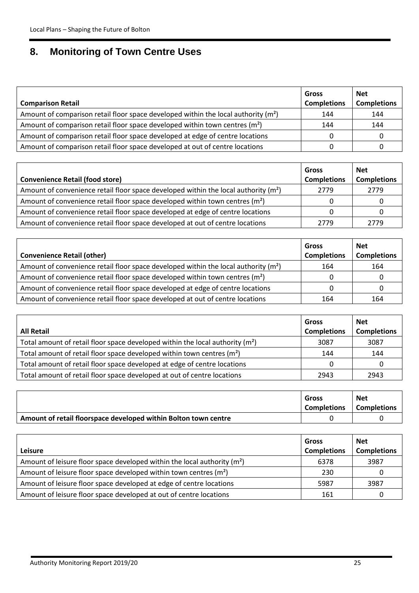### **8. Monitoring of Town Centre Uses**

| <b>Comparison Retail</b>                                                                       | Gross<br><b>Completions</b> | <b>Net</b><br><b>Completions</b> |
|------------------------------------------------------------------------------------------------|-----------------------------|----------------------------------|
| Amount of comparison retail floor space developed within the local authority (m <sup>2</sup> ) | 144                         | 144                              |
| Amount of comparison retail floor space developed within town centres (m <sup>2</sup> )        | 144                         | 144                              |
| Amount of comparison retail floor space developed at edge of centre locations                  |                             |                                  |
| Amount of comparison retail floor space developed at out of centre locations                   |                             |                                  |

|                                                                                                 | Gross              | <b>Net</b>         |
|-------------------------------------------------------------------------------------------------|--------------------|--------------------|
| <b>Convenience Retail (food store)</b>                                                          | <b>Completions</b> | <b>Completions</b> |
| Amount of convenience retail floor space developed within the local authority (m <sup>2</sup> ) | 2779               | 2779               |
| Amount of convenience retail floor space developed within town centres $(m2)$                   |                    |                    |
| Amount of convenience retail floor space developed at edge of centre locations                  |                    |                    |
| Amount of convenience retail floor space developed at out of centre locations                   | 2779               | 2779               |

|                                                                                                 | Gross              | <b>Net</b>         |
|-------------------------------------------------------------------------------------------------|--------------------|--------------------|
| <b>Convenience Retail (other)</b>                                                               | <b>Completions</b> | <b>Completions</b> |
| Amount of convenience retail floor space developed within the local authority (m <sup>2</sup> ) | 164                | 164                |
| Amount of convenience retail floor space developed within town centres (m <sup>2</sup> )        |                    |                    |
| Amount of convenience retail floor space developed at edge of centre locations                  |                    |                    |
| Amount of convenience retail floor space developed at out of centre locations                   | 164                | 164                |

|                                                                                | Gross              | <b>Net</b>         |
|--------------------------------------------------------------------------------|--------------------|--------------------|
| <b>All Retail</b>                                                              | <b>Completions</b> | <b>Completions</b> |
| Total amount of retail floor space developed within the local authority $(m2)$ | 3087               | 3087               |
| Total amount of retail floor space developed within town centres $(m2)$        | 144                | 144                |
| Total amount of retail floor space developed at edge of centre locations       |                    |                    |
| Total amount of retail floor space developed at out of centre locations        | 2943               | 2943               |

|                                                                 | Gross<br><b>Completions</b> | <b>Net</b><br><b>Completions</b> |
|-----------------------------------------------------------------|-----------------------------|----------------------------------|
| Amount of retail floorspace developed within Bolton town centre |                             |                                  |

| <b>Leisure</b>                                                                | Gross<br><b>Completions</b> | <b>Net</b><br><b>Completions</b> |
|-------------------------------------------------------------------------------|-----------------------------|----------------------------------|
| Amount of leisure floor space developed within the local authority $(m2)$     | 6378                        | 3987                             |
| Amount of leisure floor space developed within town centres (m <sup>2</sup> ) | 230                         |                                  |
| Amount of leisure floor space developed at edge of centre locations           | 5987                        | 3987                             |
| Amount of leisure floor space developed at out of centre locations            | 161                         |                                  |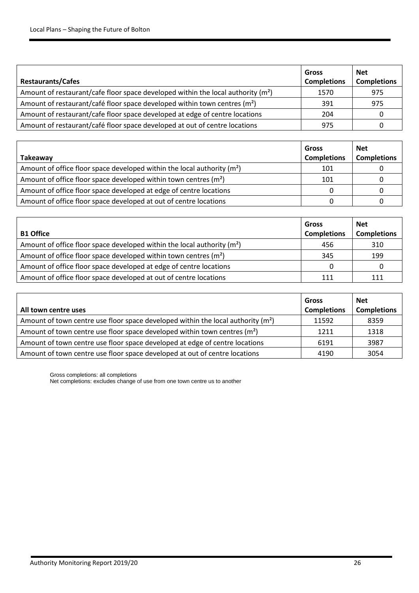| <b>Restaurants/Cafes</b>                                                                     | Gross<br><b>Completions</b> | <b>Net</b><br><b>Completions</b> |
|----------------------------------------------------------------------------------------------|-----------------------------|----------------------------------|
| Amount of restaurant/cafe floor space developed within the local authority (m <sup>2</sup> ) | 1570                        | 975                              |
| Amount of restaurant/café floor space developed within town centres (m <sup>2</sup> )        | 391                         | 975                              |
| Amount of restaurant/cafe floor space developed at edge of centre locations                  | 204                         |                                  |
| Amount of restaurant/café floor space developed at out of centre locations                   | 975                         |                                  |

|                                                                          | <b>Gross</b>       | <b>Net</b>         |
|--------------------------------------------------------------------------|--------------------|--------------------|
| Takeaway                                                                 | <b>Completions</b> | <b>Completions</b> |
| Amount of office floor space developed within the local authority $(m2)$ | 101                |                    |
| Amount of office floor space developed within town centres $(m2)$        | 101                |                    |
| Amount of office floor space developed at edge of centre locations       |                    |                    |
| Amount of office floor space developed at out of centre locations        |                    |                    |

|                                                                          | Gross              | <b>Net</b>         |
|--------------------------------------------------------------------------|--------------------|--------------------|
| <b>B1 Office</b>                                                         | <b>Completions</b> | <b>Completions</b> |
| Amount of office floor space developed within the local authority $(m2)$ | 456                | 310                |
| Amount of office floor space developed within town centres $(m2)$        | 345                | 199                |
| Amount of office floor space developed at edge of centre locations       |                    |                    |
| Amount of office floor space developed at out of centre locations        | 111                | 111                |

|                                                                                              | Gross              | <b>Net</b>         |
|----------------------------------------------------------------------------------------------|--------------------|--------------------|
| All town centre uses                                                                         | <b>Completions</b> | <b>Completions</b> |
| Amount of town centre use floor space developed within the local authority (m <sup>2</sup> ) | 11592              | 8359               |
| Amount of town centre use floor space developed within town centres $(m2)$                   | 1211               | 1318               |
| Amount of town centre use floor space developed at edge of centre locations                  | 6191               | 3987               |
| Amount of town centre use floor space developed at out of centre locations                   | 4190               | 3054               |

Gross completions: all completions

Net completions: excludes change of use from one town centre us to another